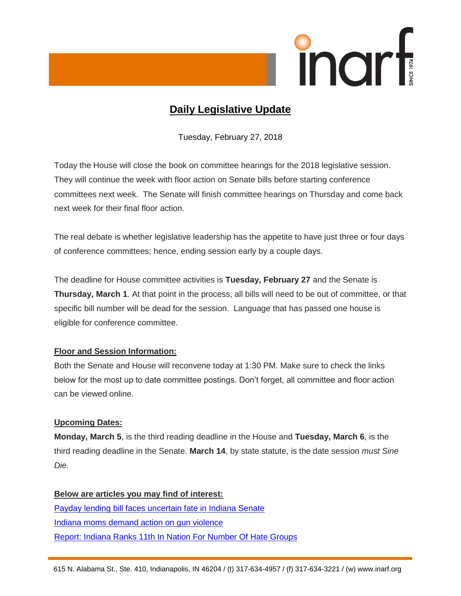

# **Daily Legislative Update**

Tuesday, February 27, 2018

Today the House will close the book on committee hearings for the 2018 legislative session. They will continue the week with floor action on Senate bills before starting conference committees next week. The Senate will finish committee hearings on Thursday and come back next week for their final floor action.

The real debate is whether legislative leadership has the appetite to have just three or four days of conference committees; hence, ending session early by a couple days.

The deadline for House committee activities is **Tuesday, February 27** and the Senate is **Thursday, March 1**. At that point in the process, all bills will need to be out of committee, or that specific bill number will be dead for the session. Language that has passed one house is eligible for conference committee.

# **Floor and Session Information:**

Both the Senate and House will reconvene today at 1:30 PM. Make sure to check the links below for the most up to date committee postings. Don't forget, all committee and floor action can be viewed online.

# **Upcoming Dates:**

**Monday, March 5**, is the third reading deadline in the House and **Tuesday, March 6**, is the third reading deadline in the Senate. **March 14**, by state statute, is the date session *must Sine Die.*

**Below are articles you may find of interest:** [Payday lending bill faces uncertain fate in Indiana Senate](http://www.therepublic.com/2018/02/24/in-xgr-indiana-payday-lending/) [Indiana moms demand action on gun violence](https://www.wthr.com/article/indiana-moms-demand-action-on-gun-violence) [Report: Indiana Ranks 11th In Nation For Number Of Hate Groups](https://indianapublicmedia.org/news/report-indiana-ranked-11th-nation-number-hate-groups-141987/)